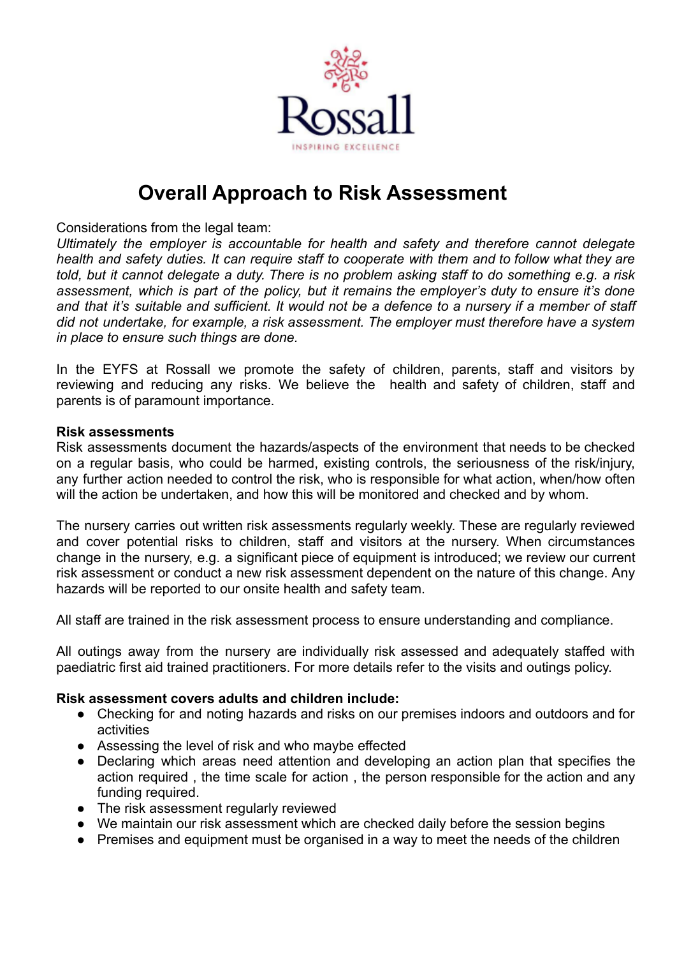

## **Overall Approach to Risk Assessment**

Considerations from the legal team:

*Ultimately the employer is accountable for health and safety and therefore cannot delegate health and safety duties. It can require staff to cooperate with them and to follow what they are* told, but it cannot delegate a duty. There is no problem asking staff to do something e.g. a risk *assessment, which is part of the policy, but it remains the employer's duty to ensure it's done* and that it's suitable and sufficient. It would not be a defence to a nursery if a member of staff *did not undertake, for example, a risk assessment. The employer must therefore have a system in place to ensure such things are done.*

In the EYFS at Rossall we promote the safety of children, parents, staff and visitors by reviewing and reducing any risks. We believe the health and safety of children, staff and parents is of paramount importance.

## **Risk assessments**

Risk assessments document the hazards/aspects of the environment that needs to be checked on a regular basis, who could be harmed, existing controls, the seriousness of the risk/injury, any further action needed to control the risk, who is responsible for what action, when/how often will the action be undertaken, and how this will be monitored and checked and by whom.

The nursery carries out written risk assessments regularly weekly. These are regularly reviewed and cover potential risks to children, staff and visitors at the nursery. When circumstances change in the nursery, e.g. a significant piece of equipment is introduced; we review our current risk assessment or conduct a new risk assessment dependent on the nature of this change. Any hazards will be reported to our onsite health and safety team.

All staff are trained in the risk assessment process to ensure understanding and compliance.

All outings away from the nursery are individually risk assessed and adequately staffed with paediatric first aid trained practitioners. For more details refer to the visits and outings policy.

## **Risk assessment covers adults and children include:**

- **●** Checking for and noting hazards and risks on our premises indoors and outdoors and for activities
- **●** Assessing the level of risk and who maybe effected
- **●** Declaring which areas need attention and developing an action plan that specifies the action required , the time scale for action , the person responsible for the action and any funding required.
- **●** The risk assessment regularly reviewed
- **●** We maintain our risk assessment which are checked daily before the session begins
- **●** Premises and equipment must be organised in a way to meet the needs of the children